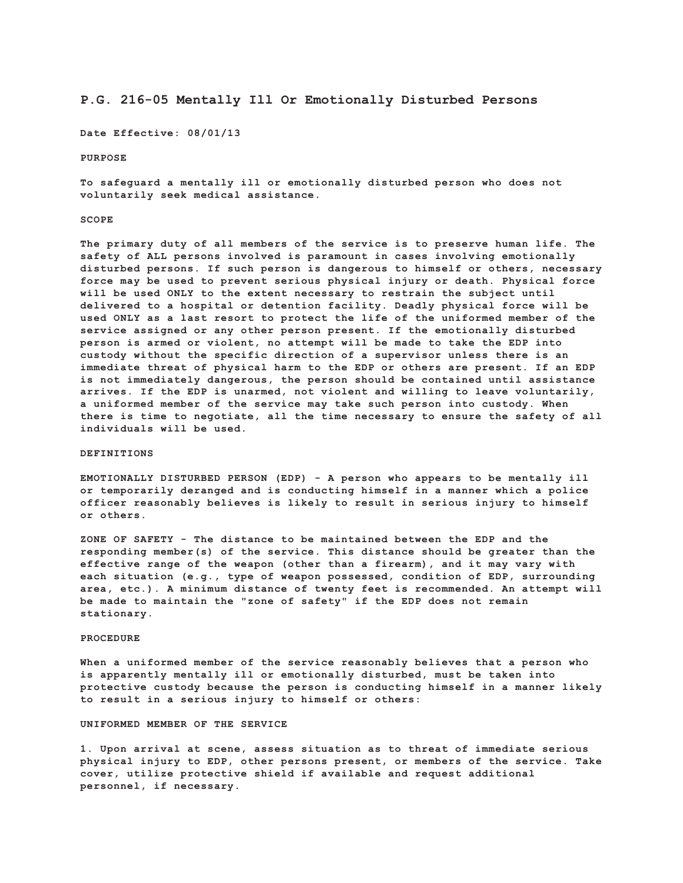# **P.G. 216-05 Mentally Ill Or Emotionally Disturbed Persons**

**Date Effective: 08/01/13**

#### **PURPOSE**

**To safeguard a mentally ill or emotionally disturbed person who does not voluntarily seek medical assistance.**

## **SCOPE**

**The primary duty of all members of the service is to preserve human life. The safety of ALL persons involved is paramount in cases involving emotionally disturbed persons. If such person is dangerous to himself or others, necessary force may be used to prevent serious physical injury or death. Physical force will be used ONLY to the extent necessary to restrain the subject until delivered to a hospital or detention facility. Deadly physical force will be used ONLY as a last resort to protect the life of the uniformed member of the service assigned or any other person present. If the emotionally disturbed person is armed or violent, no attempt will be made to take the EDP into custody without the specific direction of a supervisor unless there is an immediate threat of physical harm to the EDP or others are present. If an EDP is not immediately dangerous, the person should be contained until assistance arrives. If the EDP is unarmed, not violent and willing to leave voluntarily, a uniformed member of the service may take such person into custody. When there is time to negotiate, all the time necessary to ensure the safety of all individuals will be used.**

# **DEFINITIONS**

**EMOTIONALLY DISTURBED PERSON (EDP) - A person who appears to be mentally ill or temporarily deranged and is conducting himself in a manner which a police officer reasonably believes is likely to result in serious injury to himself or others.**

**ZONE OF SAFETY - The distance to be maintained between the EDP and the responding member(s) of the service. This distance should be greater than the effective range of the weapon (other than a firearm), and it may vary with each situation (e.g., type of weapon possessed, condition of EDP, surrounding area, etc.). A minimum distance of twenty feet is recommended. An attempt will be made to maintain the "zone of safety" if the EDP does not remain stationary.**

#### **PROCEDURE**

**When a uniformed member of the service reasonably believes that a person who is apparently mentally ill or emotionally disturbed, must be taken into protective custody because the person is conducting himself in a manner likely to result in a serious injury to himself or others:**

## **UNIFORMED MEMBER OF THE SERVICE**

**1. Upon arrival at scene, assess situation as to threat of immediate serious physical injury to EDP, other persons present, or members of the service. Take cover, utilize protective shield if available and request additional personnel, if necessary.**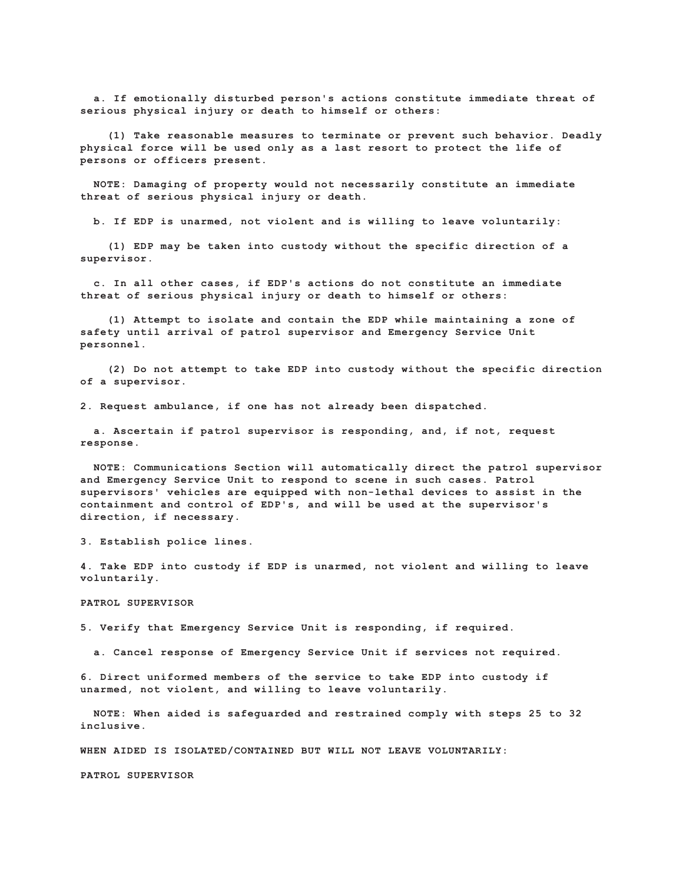**a. If emotionally disturbed person's actions constitute immediate threat of serious physical injury or death to himself or others:**

 **(1) Take reasonable measures to terminate or prevent such behavior. Deadly physical force will be used only as a last resort to protect the life of persons or officers present.**

 **NOTE: Damaging of property would not necessarily constitute an immediate threat of serious physical injury or death.**

 **b. If EDP is unarmed, not violent and is willing to leave voluntarily:**

 **(1) EDP may be taken into custody without the specific direction of a supervisor.**

 **c. In all other cases, if EDP's actions do not constitute an immediate threat of serious physical injury or death to himself or others:**

 **(1) Attempt to isolate and contain the EDP while maintaining a zone of safety until arrival of patrol supervisor and Emergency Service Unit personnel.**

 **(2) Do not attempt to take EDP into custody without the specific direction of a supervisor.**

**2. Request ambulance, if one has not already been dispatched.**

 **a. Ascertain if patrol supervisor is responding, and, if not, request response.**

 **NOTE: Communications Section will automatically direct the patrol supervisor and Emergency Service Unit to respond to scene in such cases. Patrol supervisors' vehicles are equipped with non-lethal devices to assist in the containment and control of EDP's, and will be used at the supervisor's direction, if necessary.**

**3. Establish police lines.**

**4. Take EDP into custody if EDP is unarmed, not violent and willing to leave voluntarily.**

**PATROL SUPERVISOR**

**5. Verify that Emergency Service Unit is responding, if required.**

 **a. Cancel response of Emergency Service Unit if services not required.**

**6. Direct uniformed members of the service to take EDP into custody if unarmed, not violent, and willing to leave voluntarily.**

 **NOTE: When aided is safeguarded and restrained comply with steps 25 to 32 inclusive.**

**WHEN AIDED IS ISOLATED/CONTAINED BUT WILL NOT LEAVE VOLUNTARILY:**

**PATROL SUPERVISOR**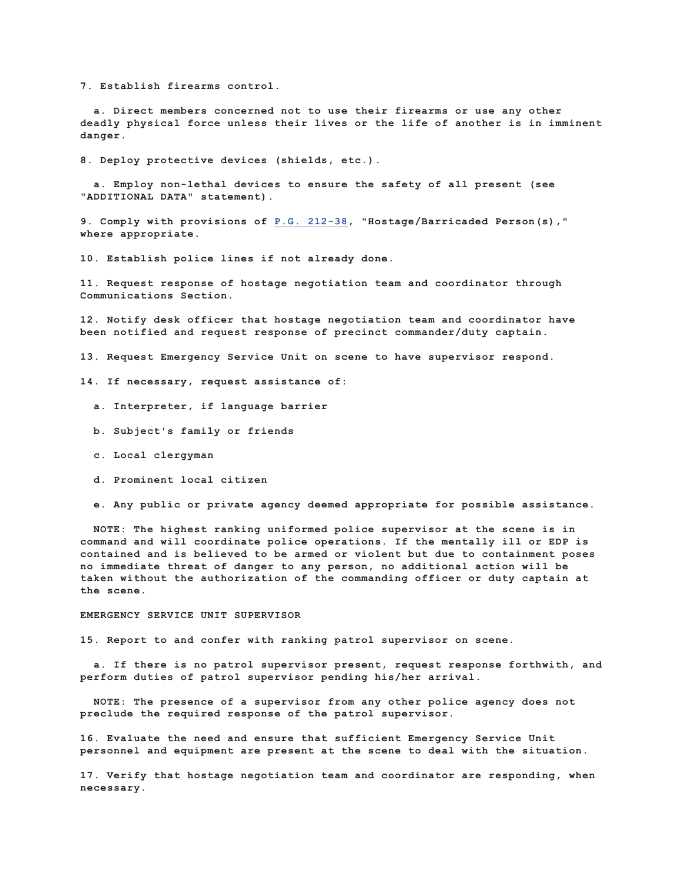**7. Establish firearms control.**

 **a. Direct members concerned not to use their firearms or use any other deadly physical force unless their lives or the life of another is in imminent danger.**

**8. Deploy protective devices (shields, etc.).**

 **a. Employ non-lethal devices to ensure the safety of all present (see "ADDITIONAL DATA" statement).**

**9. Comply with provisions of P.G. 212-38, "Hostage/Barricaded Person(s)," where appropriate.**

**10. Establish police lines if not already done.**

**11. Request response of hostage negotiation team and coordinator through Communications Section.**

**12. Notify desk officer that hostage negotiation team and coordinator have been notified and request response of precinct commander/duty captain.**

**13. Request Emergency Service Unit on scene to have supervisor respond.**

**14. If necessary, request assistance of:**

- **a. Interpreter, if language barrier**
- **b. Subject's family or friends**
- **c. Local clergyman**
- **d. Prominent local citizen**
- **e. Any public or private agency deemed appropriate for possible assistance.**

 **NOTE: The highest ranking uniformed police supervisor at the scene is in command and will coordinate police operations. If the mentally ill or EDP is contained and is believed to be armed or violent but due to containment poses no immediate threat of danger to any person, no additional action will be taken without the authorization of the commanding officer or duty captain at the scene.**

### **EMERGENCY SERVICE UNIT SUPERVISOR**

**15. Report to and confer with ranking patrol supervisor on scene.**

 **a. If there is no patrol supervisor present, request response forthwith, and perform duties of patrol supervisor pending his/her arrival.**

 **NOTE: The presence of a supervisor from any other police agency does not preclude the required response of the patrol supervisor.**

**16. Evaluate the need and ensure that sufficient Emergency Service Unit personnel and equipment are present at the scene to deal with the situation.**

**17. Verify that hostage negotiation team and coordinator are responding, when necessary.**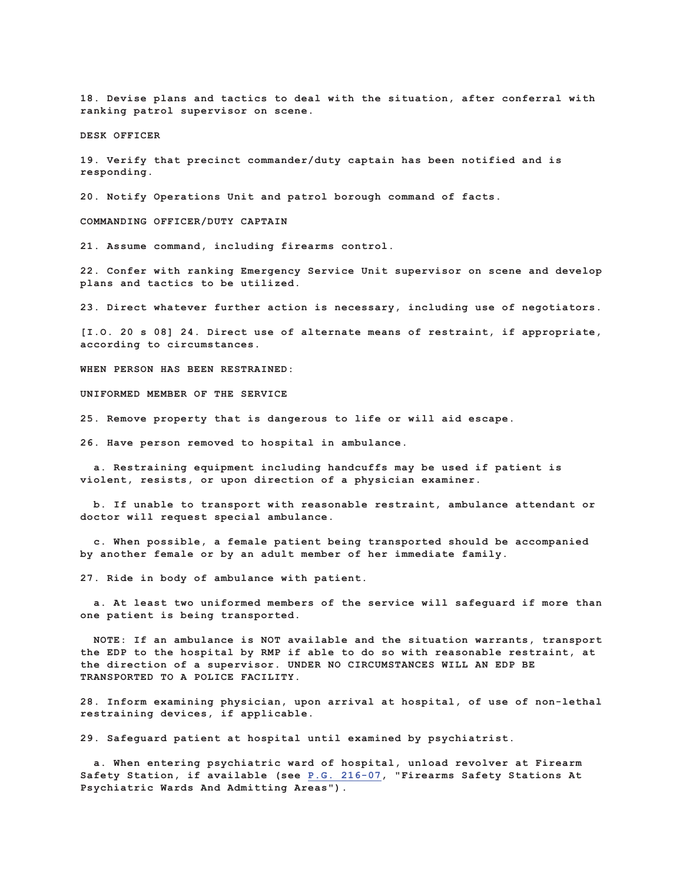**18. Devise plans and tactics to deal with the situation, after conferral with ranking patrol supervisor on scene.**

**DESK OFFICER**

**19. Verify that precinct commander/duty captain has been notified and is responding.**

**20. Notify Operations Unit and patrol borough command of facts.**

**COMMANDING OFFICER/DUTY CAPTAIN**

**21. Assume command, including firearms control.**

**22. Confer with ranking Emergency Service Unit supervisor on scene and develop plans and tactics to be utilized.**

**23. Direct whatever further action is necessary, including use of negotiators.**

**[I.O. 20 s 08] 24. Direct use of alternate means of restraint, if appropriate, according to circumstances.**

**WHEN PERSON HAS BEEN RESTRAINED:**

**UNIFORMED MEMBER OF THE SERVICE**

**25. Remove property that is dangerous to life or will aid escape.**

**26. Have person removed to hospital in ambulance.**

 **a. Restraining equipment including handcuffs may be used if patient is violent, resists, or upon direction of a physician examiner.**

 **b. If unable to transport with reasonable restraint, ambulance attendant or doctor will request special ambulance.**

 **c. When possible, a female patient being transported should be accompanied by another female or by an adult member of her immediate family.**

**27. Ride in body of ambulance with patient.**

 **a. At least two uniformed members of the service will safeguard if more than one patient is being transported.**

 **NOTE: If an ambulance is NOT available and the situation warrants, transport the EDP to the hospital by RMP if able to do so with reasonable restraint, at the direction of a supervisor. UNDER NO CIRCUMSTANCES WILL AN EDP BE TRANSPORTED TO A POLICE FACILITY.**

**28. Inform examining physician, upon arrival at hospital, of use of non-lethal restraining devices, if applicable.**

**29. Safeguard patient at hospital until examined by psychiatrist.**

 **a. When entering psychiatric ward of hospital, unload revolver at Firearm Safety Station, if available (see P.G. 216-07, "Firearms Safety Stations At Psychiatric Wards And Admitting Areas").**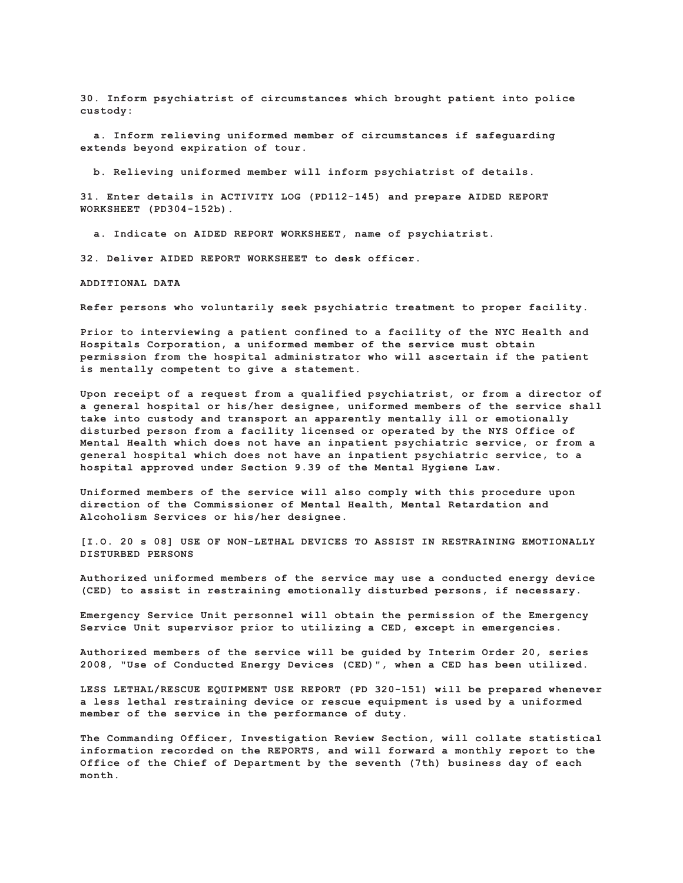**30. Inform psychiatrist of circumstances which brought patient into police custody:**

 **a. Inform relieving uniformed member of circumstances if safeguarding extends beyond expiration of tour.**

 **b. Relieving uniformed member will inform psychiatrist of details.**

**31. Enter details in ACTIVITY LOG (PD112-145) and prepare AIDED REPORT WORKSHEET (PD304-152b).**

 **a. Indicate on AIDED REPORT WORKSHEET, name of psychiatrist.**

**32. Deliver AIDED REPORT WORKSHEET to desk officer.**

**ADDITIONAL DATA**

**Refer persons who voluntarily seek psychiatric treatment to proper facility.**

**Prior to interviewing a patient confined to a facility of the NYC Health and Hospitals Corporation, a uniformed member of the service must obtain permission from the hospital administrator who will ascertain if the patient is mentally competent to give a statement.**

**Upon receipt of a request from a qualified psychiatrist, or from a director of a general hospital or his/her designee, uniformed members of the service shall take into custody and transport an apparently mentally ill or emotionally disturbed person from a facility licensed or operated by the NYS Office of Mental Health which does not have an inpatient psychiatric service, or from a general hospital which does not have an inpatient psychiatric service, to a hospital approved under Section 9.39 of the Mental Hygiene Law.**

**Uniformed members of the service will also comply with this procedure upon direction of the Commissioner of Mental Health, Mental Retardation and Alcoholism Services or his/her designee.**

**[I.O. 20 s 08] USE OF NON-LETHAL DEVICES TO ASSIST IN RESTRAINING EMOTIONALLY DISTURBED PERSONS**

**Authorized uniformed members of the service may use a conducted energy device (CED) to assist in restraining emotionally disturbed persons, if necessary.**

**Emergency Service Unit personnel will obtain the permission of the Emergency Service Unit supervisor prior to utilizing a CED, except in emergencies.**

**Authorized members of the service will be guided by Interim Order 20, series 2008, "Use of Conducted Energy Devices (CED)", when a CED has been utilized.**

**LESS LETHAL/RESCUE EQUIPMENT USE REPORT (PD 320-151) will be prepared whenever a less lethal restraining device or rescue equipment is used by a uniformed member of the service in the performance of duty.**

**The Commanding Officer, Investigation Review Section, will collate statistical information recorded on the REPORTS, and will forward a monthly report to the Office of the Chief of Department by the seventh (7th) business day of each month.**